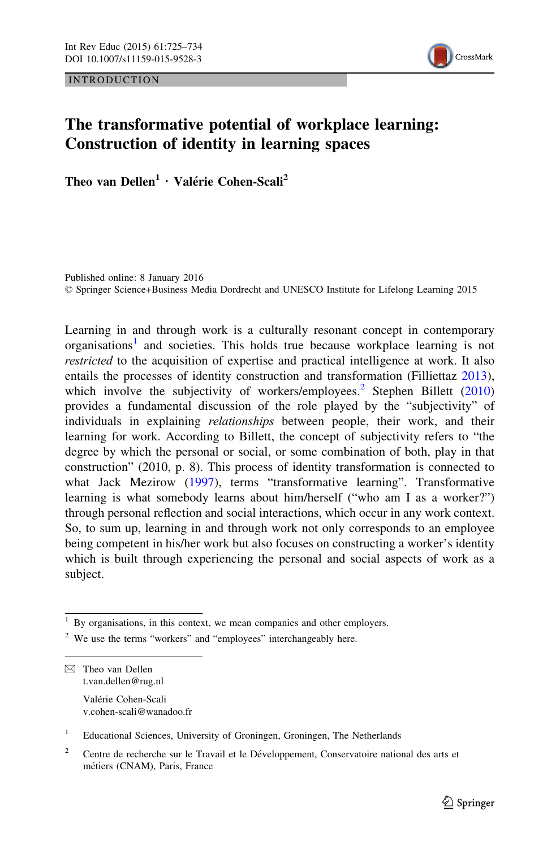INTRODUCTION



# The transformative potential of workplace learning: Construction of identity in learning spaces

Theo van Dellen<sup>1</sup> · Valérie Cohen-Scali<sup>2</sup>

Published online: 8 January 2016 © Springer Science+Business Media Dordrecht and UNESCO Institute for Lifelong Learning 2015

Learning in and through work is a culturally resonant concept in contemporary organisations<sup>1</sup> and societies. This holds true because workplace learning is not restricted to the acquisition of expertise and practical intelligence at work. It also entails the processes of identity construction and transformation (Filliettaz [2013\)](#page-8-0), which involve the subjectivity of workers/employees.<sup>2</sup> Stephen Billett  $(2010)$  $(2010)$ provides a fundamental discussion of the role played by the "subjectivity" of individuals in explaining *relationships* between people, their work, and their learning for work. According to Billett, the concept of subjectivity refers to "the degree by which the personal or social, or some combination of both, play in that construction" (2010, p. 8). This process of identity transformation is connected to what Jack Mezirow [\(1997](#page-9-0)), terms "transformative learning". Transformative learning is what somebody learns about him/herself ("who am I as a worker?") through personal reflection and social interactions, which occur in any work context. So, to sum up, learning in and through work not only corresponds to an employee being competent in his/her work but also focuses on constructing a worker's identity which is built through experiencing the personal and social aspects of work as a subject.

<sup>&</sup>lt;sup>1</sup> By organisations, in this context, we mean companies and other employers.

 $2$  We use the terms "workers" and "employees" interchangeably here.

 $\boxtimes$  Theo van Dellen t.van.dellen@rug.nl Valérie Cohen-Scali v.cohen-scali@wanadoo.fr

<sup>&</sup>lt;sup>1</sup> Educational Sciences, University of Groningen, Groningen, The Netherlands

<sup>&</sup>lt;sup>2</sup> Centre de recherche sur le Travail et le Développement, Conservatoire national des arts et métiers (CNAM), Paris, France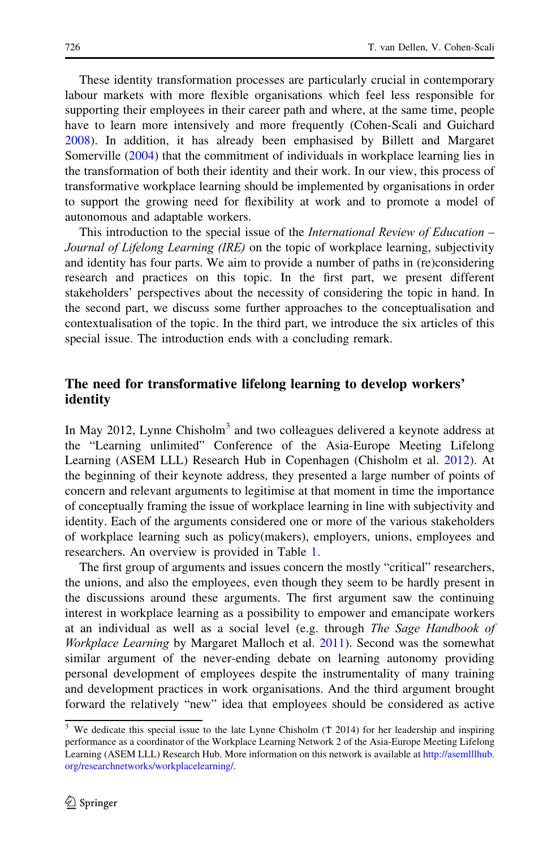These identity transformation processes are particularly crucial in contemporary labour markets with more flexible organisations which feel less responsible for supporting their employees in their career path and where, at the same time, people have to learn more intensively and more frequently (Cohen-Scali and Guichard [2008\)](#page-8-0). In addition, it has already been emphasised by Billett and Margaret Somerville [\(2004](#page-8-0)) that the commitment of individuals in workplace learning lies in the transformation of both their identity and their work. In our view, this process of transformative workplace learning should be implemented by organisations in order to support the growing need for flexibility at work and to promote a model of autonomous and adaptable workers.

This introduction to the special issue of the *International Review of Education* – Journal of Lifelong Learning (IRE) on the topic of workplace learning, subjectivity and identity has four parts. We aim to provide a number of paths in (re)considering research and practices on this topic. In the first part, we present different stakeholders' perspectives about the necessity of considering the topic in hand. In the second part, we discuss some further approaches to the conceptualisation and contextualisation of the topic. In the third part, we introduce the six articles of this special issue. The introduction ends with a concluding remark.

## The need for transformative lifelong learning to develop workers' identity

In May 2012, Lynne Chisholm<sup>3</sup> and two colleagues delivered a keynote address at the "Learning unlimited" Conference of the Asia-Europe Meeting Lifelong Learning (ASEM LLL) Research Hub in Copenhagen (Chisholm et al. [2012\)](#page-8-0). At the beginning of their keynote address, they presented a large number of points of concern and relevant arguments to legitimise at that moment in time the importance of conceptually framing the issue of workplace learning in line with subjectivity and identity. Each of the arguments considered one or more of the various stakeholders of workplace learning such as policy(makers), employers, unions, employees and researchers. An overview is provided in Table [1](#page-2-0).

The first group of arguments and issues concern the mostly "critical" researchers, the unions, and also the employees, even though they seem to be hardly present in the discussions around these arguments. The first argument saw the continuing interest in workplace learning as a possibility to empower and emancipate workers at an individual as well as a social level (e.g. through The Sage Handbook of Workplace Learning by Margaret Malloch et al. [2011\)](#page-9-0). Second was the somewhat similar argument of the never-ending debate on learning autonomy providing personal development of employees despite the instrumentality of many training and development practices in work organisations. And the third argument brought forward the relatively "new" idea that employees should be considered as active

<sup>&</sup>lt;sup>3</sup> We dedicate this special issue to the late Lynne Chisholm (Ť 2014) for her leadership and inspiring performance as a coordinator of the Workplace Learning Network 2 of the Asia-Europe Meeting Lifelong Learning (ASEM LLL) Research Hub. More information on this network is available at [http://asemlllhub.](http://asemlllhub.org/researchnetworks/workplacelearning/) [org/researchnetworks/workplacelearning/](http://asemlllhub.org/researchnetworks/workplacelearning/).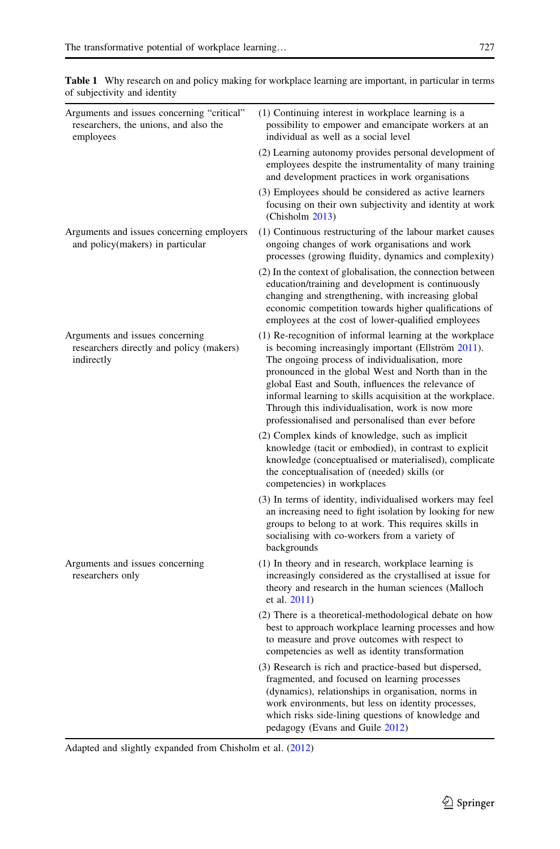| Arguments and issues concerning "critical"<br>researchers, the unions, and also the<br>employees | (1) Continuing interest in workplace learning is a<br>possibility to empower and emancipate workers at an<br>individual as well as a social level                                                                                                                                                                                                                                                                                                     |  |
|--------------------------------------------------------------------------------------------------|-------------------------------------------------------------------------------------------------------------------------------------------------------------------------------------------------------------------------------------------------------------------------------------------------------------------------------------------------------------------------------------------------------------------------------------------------------|--|
|                                                                                                  | (2) Learning autonomy provides personal development of<br>employees despite the instrumentality of many training<br>and development practices in work organisations                                                                                                                                                                                                                                                                                   |  |
|                                                                                                  | (3) Employees should be considered as active learners<br>focusing on their own subjectivity and identity at work<br>(Chisholm 2013)                                                                                                                                                                                                                                                                                                                   |  |
| Arguments and issues concerning employers<br>and policy(makers) in particular                    | (1) Continuous restructuring of the labour market causes<br>ongoing changes of work organisations and work<br>processes (growing fluidity, dynamics and complexity)                                                                                                                                                                                                                                                                                   |  |
|                                                                                                  | (2) In the context of globalisation, the connection between<br>education/training and development is continuously<br>changing and strengthening, with increasing global<br>economic competition towards higher qualifications of<br>employees at the cost of lower-qualified employees                                                                                                                                                                |  |
| Arguments and issues concerning<br>researchers directly and policy (makers)<br>indirectly        | (1) Re-recognition of informal learning at the workplace<br>is becoming increasingly important (Ellström 2011).<br>The ongoing process of individualisation, more<br>pronounced in the global West and North than in the<br>global East and South, influences the relevance of<br>informal learning to skills acquisition at the workplace.<br>Through this individualisation, work is now more<br>professionalised and personalised than ever before |  |
|                                                                                                  | (2) Complex kinds of knowledge, such as implicit<br>knowledge (tacit or embodied), in contrast to explicit<br>knowledge (conceptualised or materialised), complicate<br>the conceptualisation of (needed) skills (or<br>competencies) in workplaces                                                                                                                                                                                                   |  |
|                                                                                                  | (3) In terms of identity, individualised workers may feel<br>an increasing need to fight isolation by looking for new<br>groups to belong to at work. This requires skills in<br>socialising with co-workers from a variety of<br>backgrounds                                                                                                                                                                                                         |  |
| Arguments and issues concerning<br>researchers only                                              | (1) In theory and in research, workplace learning is<br>increasingly considered as the crystallised at issue for<br>theory and research in the human sciences (Malloch<br>et al. 2011)                                                                                                                                                                                                                                                                |  |
|                                                                                                  | (2) There is a theoretical-methodological debate on how<br>best to approach workplace learning processes and how<br>to measure and prove outcomes with respect to<br>competencies as well as identity transformation                                                                                                                                                                                                                                  |  |
|                                                                                                  | (3) Research is rich and practice-based but dispersed,<br>fragmented, and focused on learning processes<br>(dynamics), relationships in organisation, norms in<br>work environments, but less on identity processes,<br>which risks side-lining questions of knowledge and<br>pedagogy (Evans and Guile 2012)                                                                                                                                         |  |

<span id="page-2-0"></span>Table 1 Why research on and policy making for workplace learning are important, in particular in terms of subjectivity and identity

Adapted and slightly expanded from Chisholm et al. ([2012\)](#page-8-0)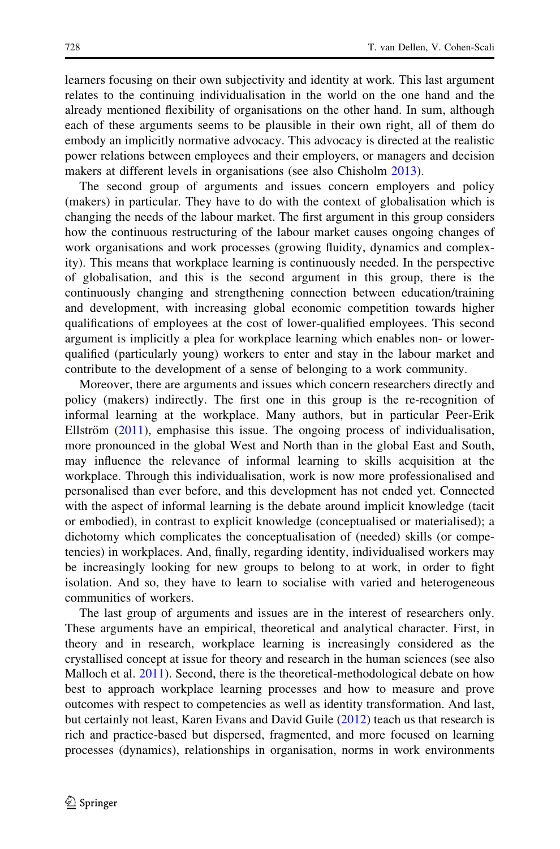learners focusing on their own subjectivity and identity at work. This last argument relates to the continuing individualisation in the world on the one hand and the already mentioned flexibility of organisations on the other hand. In sum, although each of these arguments seems to be plausible in their own right, all of them do embody an implicitly normative advocacy. This advocacy is directed at the realistic power relations between employees and their employers, or managers and decision makers at different levels in organisations (see also Chisholm [2013](#page-8-0)).

The second group of arguments and issues concern employers and policy (makers) in particular. They have to do with the context of globalisation which is changing the needs of the labour market. The first argument in this group considers how the continuous restructuring of the labour market causes ongoing changes of work organisations and work processes (growing fluidity, dynamics and complexity). This means that workplace learning is continuously needed. In the perspective of globalisation, and this is the second argument in this group, there is the continuously changing and strengthening connection between education/training and development, with increasing global economic competition towards higher qualifications of employees at the cost of lower-qualified employees. This second argument is implicitly a plea for workplace learning which enables non- or lowerqualified (particularly young) workers to enter and stay in the labour market and contribute to the development of a sense of belonging to a work community.

Moreover, there are arguments and issues which concern researchers directly and policy (makers) indirectly. The first one in this group is the re-recognition of informal learning at the workplace. Many authors, but in particular Peer-Erik Ellström  $(2011)$  $(2011)$ , emphasise this issue. The ongoing process of individualisation, more pronounced in the global West and North than in the global East and South, may influence the relevance of informal learning to skills acquisition at the workplace. Through this individualisation, work is now more professionalised and personalised than ever before, and this development has not ended yet. Connected with the aspect of informal learning is the debate around implicit knowledge (tacit or embodied), in contrast to explicit knowledge (conceptualised or materialised); a dichotomy which complicates the conceptualisation of (needed) skills (or competencies) in workplaces. And, finally, regarding identity, individualised workers may be increasingly looking for new groups to belong to at work, in order to fight isolation. And so, they have to learn to socialise with varied and heterogeneous communities of workers.

The last group of arguments and issues are in the interest of researchers only. These arguments have an empirical, theoretical and analytical character. First, in theory and in research, workplace learning is increasingly considered as the crystallised concept at issue for theory and research in the human sciences (see also Malloch et al. [2011](#page-9-0)). Second, there is the theoretical-methodological debate on how best to approach workplace learning processes and how to measure and prove outcomes with respect to competencies as well as identity transformation. And last, but certainly not least, Karen Evans and David Guile ([2012\)](#page-8-0) teach us that research is rich and practice-based but dispersed, fragmented, and more focused on learning processes (dynamics), relationships in organisation, norms in work environments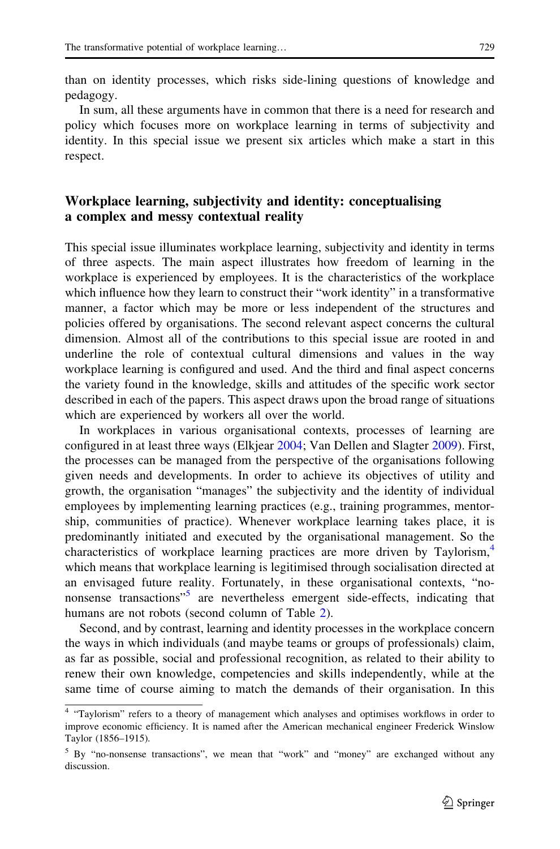than on identity processes, which risks side-lining questions of knowledge and pedagogy.

In sum, all these arguments have in common that there is a need for research and policy which focuses more on workplace learning in terms of subjectivity and identity. In this special issue we present six articles which make a start in this respect.

## Workplace learning, subjectivity and identity: conceptualising a complex and messy contextual reality

This special issue illuminates workplace learning, subjectivity and identity in terms of three aspects. The main aspect illustrates how freedom of learning in the workplace is experienced by employees. It is the characteristics of the workplace which influence how they learn to construct their "work identity" in a transformative manner, a factor which may be more or less independent of the structures and policies offered by organisations. The second relevant aspect concerns the cultural dimension. Almost all of the contributions to this special issue are rooted in and underline the role of contextual cultural dimensions and values in the way workplace learning is configured and used. And the third and final aspect concerns the variety found in the knowledge, skills and attitudes of the specific work sector described in each of the papers. This aspect draws upon the broad range of situations which are experienced by workers all over the world.

In workplaces in various organisational contexts, processes of learning are configured in at least three ways (Elkjear [2004;](#page-8-0) Van Dellen and Slagter [2009](#page-9-0)). First, the processes can be managed from the perspective of the organisations following given needs and developments. In order to achieve its objectives of utility and growth, the organisation "manages" the subjectivity and the identity of individual employees by implementing learning practices (e.g., training programmes, mentorship, communities of practice). Whenever workplace learning takes place, it is predominantly initiated and executed by the organisational management. So the characteristics of workplace learning practices are more driven by Taylorism,<sup>4</sup> which means that workplace learning is legitimised through socialisation directed at an envisaged future reality. Fortunately, in these organisational contexts, "nononsense transactions<sup>"5</sup> are nevertheless emergent side-effects, indicating that humans are not robots (second column of Table [2](#page-5-0)).

Second, and by contrast, learning and identity processes in the workplace concern the ways in which individuals (and maybe teams or groups of professionals) claim, as far as possible, social and professional recognition, as related to their ability to renew their own knowledge, competencies and skills independently, while at the same time of course aiming to match the demands of their organisation. In this

<sup>&</sup>lt;sup>4</sup> "Taylorism" refers to a theory of management which analyses and optimises workflows in order to improve economic efficiency. It is named after the American mechanical engineer Frederick Winslow Taylor (1856–1915).

<sup>5</sup> By "no-nonsense transactions", we mean that "work" and "money" are exchanged without any discussion.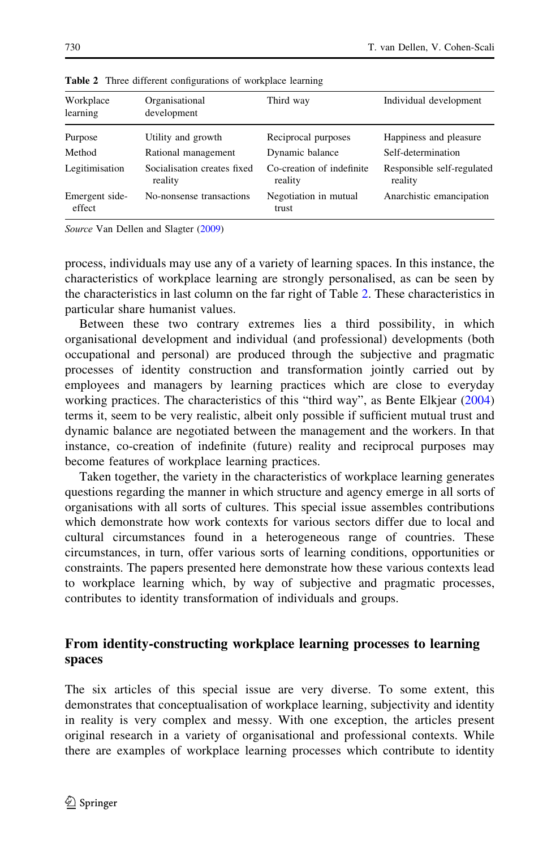| Workplace<br>learning    | Organisational<br>development          | Third way                            | Individual development                |
|--------------------------|----------------------------------------|--------------------------------------|---------------------------------------|
| Purpose                  | Utility and growth                     | Reciprocal purposes                  | Happiness and pleasure                |
| Method                   | Rational management                    | Dynamic balance                      | Self-determination                    |
| Legitimisation           | Socialisation creates fixed<br>reality | Co-creation of indefinite<br>reality | Responsible self-regulated<br>reality |
| Emergent side-<br>effect | No-nonsense transactions               | Negotiation in mutual<br>trust       | Anarchistic emancipation              |

<span id="page-5-0"></span>Table 2 Three different configurations of workplace learning

Source Van Dellen and Slagter [\(2009](#page-9-0))

process, individuals may use any of a variety of learning spaces. In this instance, the characteristics of workplace learning are strongly personalised, as can be seen by the characteristics in last column on the far right of Table 2. These characteristics in particular share humanist values.

Between these two contrary extremes lies a third possibility, in which organisational development and individual (and professional) developments (both occupational and personal) are produced through the subjective and pragmatic processes of identity construction and transformation jointly carried out by employees and managers by learning practices which are close to everyday working practices. The characteristics of this "third way", as Bente Elkjear [\(2004](#page-8-0)) terms it, seem to be very realistic, albeit only possible if sufficient mutual trust and dynamic balance are negotiated between the management and the workers. In that instance, co-creation of indefinite (future) reality and reciprocal purposes may become features of workplace learning practices.

Taken together, the variety in the characteristics of workplace learning generates questions regarding the manner in which structure and agency emerge in all sorts of organisations with all sorts of cultures. This special issue assembles contributions which demonstrate how work contexts for various sectors differ due to local and cultural circumstances found in a heterogeneous range of countries. These circumstances, in turn, offer various sorts of learning conditions, opportunities or constraints. The papers presented here demonstrate how these various contexts lead to workplace learning which, by way of subjective and pragmatic processes, contributes to identity transformation of individuals and groups.

# From identity-constructing workplace learning processes to learning spaces

The six articles of this special issue are very diverse. To some extent, this demonstrates that conceptualisation of workplace learning, subjectivity and identity in reality is very complex and messy. With one exception, the articles present original research in a variety of organisational and professional contexts. While there are examples of workplace learning processes which contribute to identity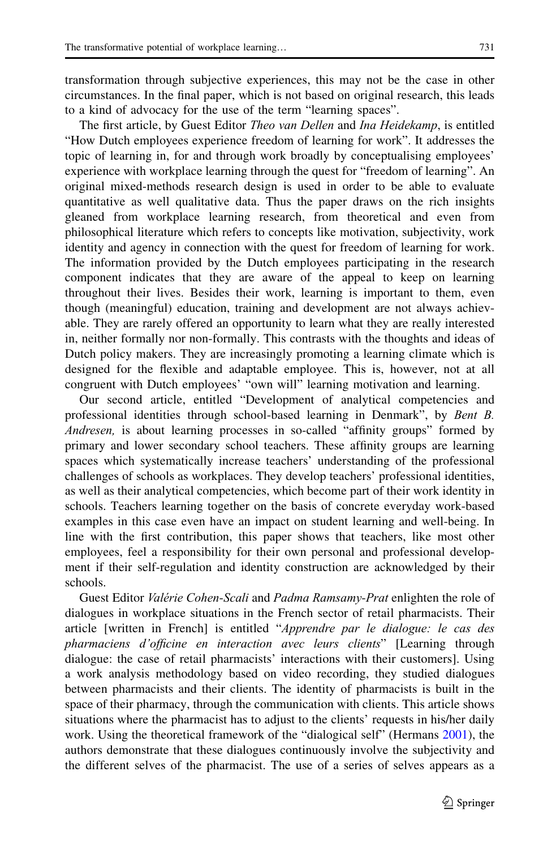transformation through subjective experiences, this may not be the case in other circumstances. In the final paper, which is not based on original research, this leads to a kind of advocacy for the use of the term "learning spaces".

The first article, by Guest Editor Theo van Dellen and Ina Heidekamp, is entitled "How Dutch employees experience freedom of learning for work". It addresses the topic of learning in, for and through work broadly by conceptualising employees' experience with workplace learning through the quest for "freedom of learning". An original mixed-methods research design is used in order to be able to evaluate quantitative as well qualitative data. Thus the paper draws on the rich insights gleaned from workplace learning research, from theoretical and even from philosophical literature which refers to concepts like motivation, subjectivity, work identity and agency in connection with the quest for freedom of learning for work. The information provided by the Dutch employees participating in the research component indicates that they are aware of the appeal to keep on learning throughout their lives. Besides their work, learning is important to them, even though (meaningful) education, training and development are not always achievable. They are rarely offered an opportunity to learn what they are really interested in, neither formally nor non-formally. This contrasts with the thoughts and ideas of Dutch policy makers. They are increasingly promoting a learning climate which is designed for the flexible and adaptable employee. This is, however, not at all congruent with Dutch employees' "own will" learning motivation and learning.

Our second article, entitled "Development of analytical competencies and professional identities through school-based learning in Denmark", by Bent B. Andresen, is about learning processes in so-called "affinity groups" formed by primary and lower secondary school teachers. These affinity groups are learning spaces which systematically increase teachers' understanding of the professional challenges of schools as workplaces. They develop teachers' professional identities, as well as their analytical competencies, which become part of their work identity in schools. Teachers learning together on the basis of concrete everyday work-based examples in this case even have an impact on student learning and well-being. In line with the first contribution, this paper shows that teachers, like most other employees, feel a responsibility for their own personal and professional development if their self-regulation and identity construction are acknowledged by their schools.

Guest Editor Valérie Cohen-Scali and Padma Ramsamy-Prat enlighten the role of dialogues in workplace situations in the French sector of retail pharmacists. Their article [written in French] is entitled "Apprendre par le dialogue: le cas des pharmaciens d'officine en interaction avec leurs clients" [Learning through dialogue: the case of retail pharmacists' interactions with their customers]. Using a work analysis methodology based on video recording, they studied dialogues between pharmacists and their clients. The identity of pharmacists is built in the space of their pharmacy, through the communication with clients. This article shows situations where the pharmacist has to adjust to the clients' requests in his/her daily work. Using the theoretical framework of the "dialogical self" (Hermans [2001](#page-8-0)), the authors demonstrate that these dialogues continuously involve the subjectivity and the different selves of the pharmacist. The use of a series of selves appears as a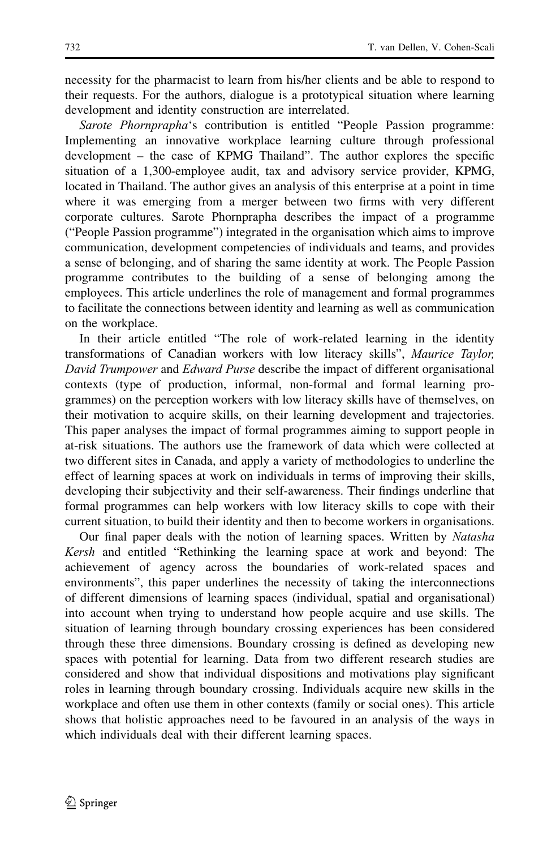necessity for the pharmacist to learn from his/her clients and be able to respond to their requests. For the authors, dialogue is a prototypical situation where learning development and identity construction are interrelated.

Sarote Phornprapha's contribution is entitled "People Passion programme: Implementing an innovative workplace learning culture through professional development – the case of KPMG Thailand". The author explores the specific situation of a 1,300-employee audit, tax and advisory service provider, KPMG, located in Thailand. The author gives an analysis of this enterprise at a point in time where it was emerging from a merger between two firms with very different corporate cultures. Sarote Phornprapha describes the impact of a programme ("People Passion programme") integrated in the organisation which aims to improve communication, development competencies of individuals and teams, and provides a sense of belonging, and of sharing the same identity at work. The People Passion programme contributes to the building of a sense of belonging among the employees. This article underlines the role of management and formal programmes to facilitate the connections between identity and learning as well as communication on the workplace.

In their article entitled "The role of work-related learning in the identity transformations of Canadian workers with low literacy skills", Maurice Taylor, David Trumpower and Edward Purse describe the impact of different organisational contexts (type of production, informal, non-formal and formal learning programmes) on the perception workers with low literacy skills have of themselves, on their motivation to acquire skills, on their learning development and trajectories. This paper analyses the impact of formal programmes aiming to support people in at-risk situations. The authors use the framework of data which were collected at two different sites in Canada, and apply a variety of methodologies to underline the effect of learning spaces at work on individuals in terms of improving their skills, developing their subjectivity and their self-awareness. Their findings underline that formal programmes can help workers with low literacy skills to cope with their current situation, to build their identity and then to become workers in organisations.

Our final paper deals with the notion of learning spaces. Written by *Natasha* Kersh and entitled "Rethinking the learning space at work and beyond: The achievement of agency across the boundaries of work-related spaces and environments", this paper underlines the necessity of taking the interconnections of different dimensions of learning spaces (individual, spatial and organisational) into account when trying to understand how people acquire and use skills. The situation of learning through boundary crossing experiences has been considered through these three dimensions. Boundary crossing is defined as developing new spaces with potential for learning. Data from two different research studies are considered and show that individual dispositions and motivations play significant roles in learning through boundary crossing. Individuals acquire new skills in the workplace and often use them in other contexts (family or social ones). This article shows that holistic approaches need to be favoured in an analysis of the ways in which individuals deal with their different learning spaces.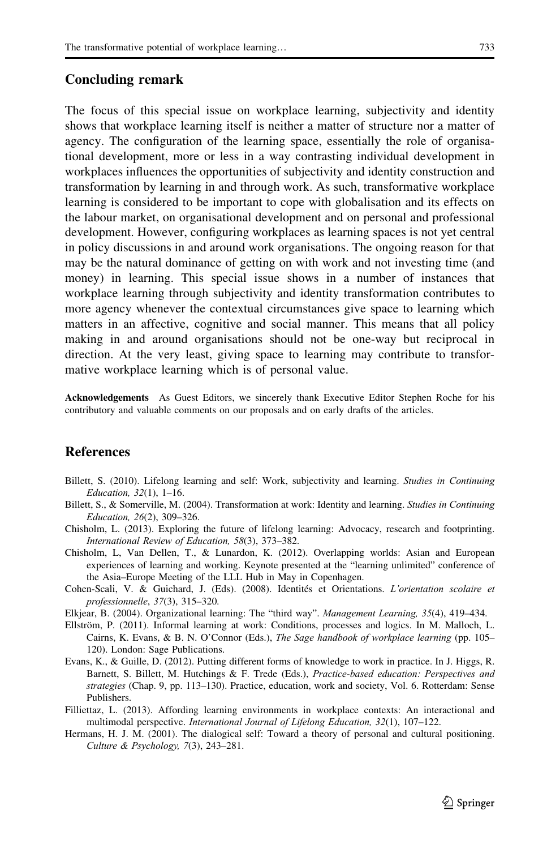#### <span id="page-8-0"></span>Concluding remark

The focus of this special issue on workplace learning, subjectivity and identity shows that workplace learning itself is neither a matter of structure nor a matter of agency. The configuration of the learning space, essentially the role of organisational development, more or less in a way contrasting individual development in workplaces influences the opportunities of subjectivity and identity construction and transformation by learning in and through work. As such, transformative workplace learning is considered to be important to cope with globalisation and its effects on the labour market, on organisational development and on personal and professional development. However, configuring workplaces as learning spaces is not yet central in policy discussions in and around work organisations. The ongoing reason for that may be the natural dominance of getting on with work and not investing time (and money) in learning. This special issue shows in a number of instances that workplace learning through subjectivity and identity transformation contributes to more agency whenever the contextual circumstances give space to learning which matters in an affective, cognitive and social manner. This means that all policy making in and around organisations should not be one-way but reciprocal in direction. At the very least, giving space to learning may contribute to transformative workplace learning which is of personal value.

Acknowledgements As Guest Editors, we sincerely thank Executive Editor Stephen Roche for his contributory and valuable comments on our proposals and on early drafts of the articles.

#### **References**

- Billett, S. (2010). Lifelong learning and self: Work, subjectivity and learning. Studies in Continuing Education, 32(1), 1–16.
- Billett, S., & Somerville, M. (2004). Transformation at work: Identity and learning. Studies in Continuing Education, 26(2), 309–326.
- Chisholm, L. (2013). Exploring the future of lifelong learning: Advocacy, research and footprinting. International Review of Education, 58(3), 373–382.
- Chisholm, L, Van Dellen, T., & Lunardon, K. (2012). Overlapping worlds: Asian and European experiences of learning and working. Keynote presented at the "learning unlimited" conference of the Asia–Europe Meeting of the LLL Hub in May in Copenhagen.
- Cohen-Scali, V. & Guichard, J. (Eds). (2008). Identités et Orientations. L'orientation scolaire et professionnelle, 37(3), 315–320.
- Elkjear, B. (2004). Organizational learning: The "third way". Management Learning, 35(4), 419–434.
- Ellström, P. (2011). Informal learning at work: Conditions, processes and logics. In M. Malloch, L. Cairns, K. Evans, & B. N. O'Connor (Eds.), The Sage handbook of workplace learning (pp. 105– 120). London: Sage Publications.
- Evans, K., & Guille, D. (2012). Putting different forms of knowledge to work in practice. In J. Higgs, R. Barnett, S. Billett, M. Hutchings & F. Trede (Eds.), Practice-based education: Perspectives and strategies (Chap. 9, pp. 113–130). Practice, education, work and society, Vol. 6. Rotterdam: Sense Publishers.
- Filliettaz, L. (2013). Affording learning environments in workplace contexts: An interactional and multimodal perspective. International Journal of Lifelong Education, 32(1), 107–122.
- Hermans, H. J. M. (2001). The dialogical self: Toward a theory of personal and cultural positioning. Culture & Psychology, 7(3), 243–281.